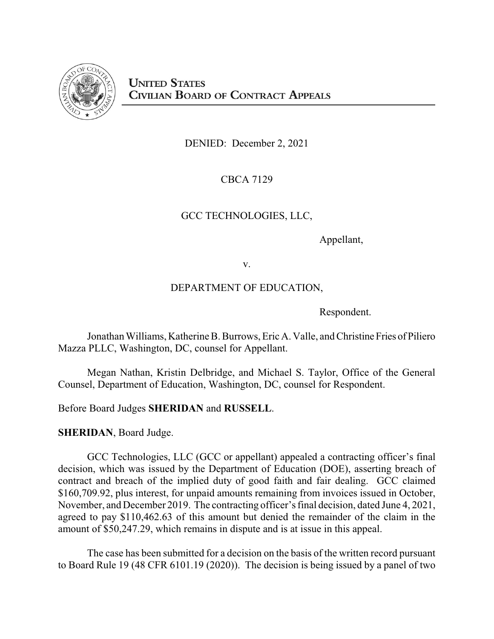

DENIED: December 2, 2021

# CBCA 7129

## GCC TECHNOLOGIES, LLC,

Appellant,

v.

# DEPARTMENT OF EDUCATION,

Respondent.

Jonathan Williams, Katherine B. Burrows, Eric A. Valle, and Christine Fries of Piliero Mazza PLLC, Washington, DC, counsel for Appellant.

Megan Nathan, Kristin Delbridge, and Michael S. Taylor, Office of the General Counsel, Department of Education, Washington, DC, counsel for Respondent.

Before Board Judges **SHERIDAN** and **RUSSELL**.

**SHERIDAN**, Board Judge.

GCC Technologies, LLC (GCC or appellant) appealed a contracting officer's final decision, which was issued by the Department of Education (DOE), asserting breach of contract and breach of the implied duty of good faith and fair dealing. GCC claimed \$160,709.92, plus interest, for unpaid amounts remaining from invoices issued in October, November, and December 2019. The contracting officer's final decision, dated June 4, 2021, agreed to pay \$110,462.63 of this amount but denied the remainder of the claim in the amount of \$50,247.29, which remains in dispute and is at issue in this appeal.

The case has been submitted for a decision on the basis of the written record pursuant to Board Rule 19 (48 CFR 6101.19 (2020)). The decision is being issued by a panel of two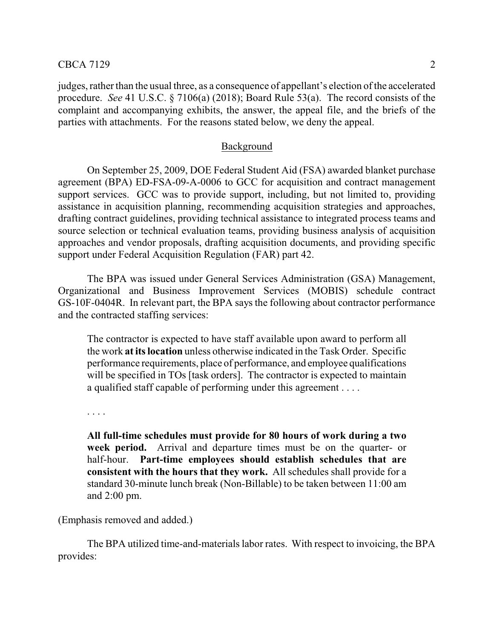judges, rather than the usual three, as a consequence of appellant's election of the accelerated procedure. *See* 41 U.S.C. § 7106(a) (2018); Board Rule 53(a). The record consists of the complaint and accompanying exhibits, the answer, the appeal file, and the briefs of the parties with attachments. For the reasons stated below, we deny the appeal.

#### Background

On September 25, 2009, DOE Federal Student Aid (FSA) awarded blanket purchase agreement (BPA) ED-FSA-09-A-0006 to GCC for acquisition and contract management support services. GCC was to provide support, including, but not limited to, providing assistance in acquisition planning, recommending acquisition strategies and approaches, drafting contract guidelines, providing technical assistance to integrated process teams and source selection or technical evaluation teams, providing business analysis of acquisition approaches and vendor proposals, drafting acquisition documents, and providing specific support under Federal Acquisition Regulation (FAR) part 42.

The BPA was issued under General Services Administration (GSA) Management, Organizational and Business Improvement Services (MOBIS) schedule contract GS-10F-0404R. In relevant part, the BPA says the following about contractor performance and the contracted staffing services:

The contractor is expected to have staff available upon award to perform all the work **atits location** unless otherwise indicated in the Task Order. Specific performance requirements, place of performance, and employee qualifications will be specified in TOs [task orders]. The contractor is expected to maintain a qualified staff capable of performing under this agreement . . . .

. . . .

**All full-time schedules must provide for 80 hours of work during a two week period.** Arrival and departure times must be on the quarter- or half-hour. **Part-time employees should establish schedules that are consistent with the hours that they work.** All schedules shall provide for a standard 30-minute lunch break (Non-Billable) to be taken between 11:00 am and 2:00 pm.

(Emphasis removed and added.)

The BPA utilized time-and-materials labor rates. With respect to invoicing, the BPA provides: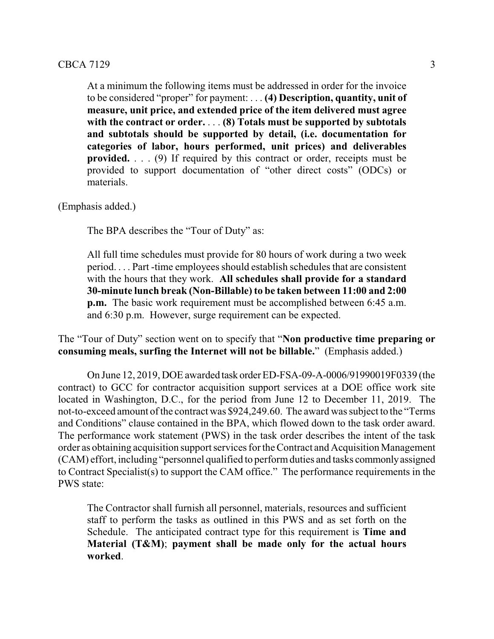At a minimum the following items must be addressed in order for the invoice to be considered "proper" for payment: . . . **(4) Description, quantity, unit of measure, unit price, and extended price of the item delivered must agree with the contract or order.** . . . **(8) Totals must be supported by subtotals and subtotals should be supported by detail, (i.e. documentation for categories of labor, hours performed, unit prices) and deliverables provided.** . . . (9) If required by this contract or order, receipts must be provided to support documentation of "other direct costs" (ODCs) or materials.

(Emphasis added.)

The BPA describes the "Tour of Duty" as:

All full time schedules must provide for 80 hours of work during a two week period. . . . Part -time employees should establish schedules that are consistent with the hours that they work. **All schedules shall provide for a standard 30-minute lunch break (Non-Billable) to be taken between 11:00 and 2:00 p.m.** The basic work requirement must be accomplished between 6:45 a.m. and 6:30 p.m. However, surge requirement can be expected.

The "Tour of Duty" section went on to specify that "**Non productive time preparing or consuming meals, surfing the Internet will not be billable.**" (Emphasis added.)

On June 12, 2019, DOE awarded task orderED-FSA-09-A-0006/91990019F0339 (the contract) to GCC for contractor acquisition support services at a DOE office work site located in Washington, D.C., for the period from June 12 to December 11, 2019. The not-to-exceed amount of the contract was \$924,249.60. The award was subject to the "Terms" and Conditions" clause contained in the BPA, which flowed down to the task order award. The performance work statement (PWS) in the task order describes the intent of the task order as obtaining acquisition support services for the Contract and Acquisition Management (CAM) effort, including "personnel qualified to performduties and tasks commonlyassigned to Contract Specialist(s) to support the CAM office." The performance requirements in the PWS state:

The Contractor shall furnish all personnel, materials, resources and sufficient staff to perform the tasks as outlined in this PWS and as set forth on the Schedule. The anticipated contract type for this requirement is **Time and Material (T&M)**; **payment shall be made only for the actual hours worked**.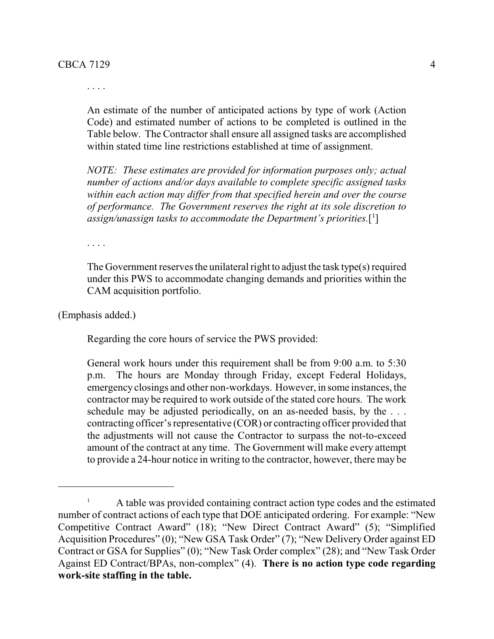. . . .

An estimate of the number of anticipated actions by type of work (Action Code) and estimated number of actions to be completed is outlined in the Table below. The Contractor shall ensure all assigned tasks are accomplished within stated time line restrictions established at time of assignment.

*NOTE: These estimates are provided for information purposes only; actual number of actions and/or days available to complete specific assigned tasks within each action may differ from that specified herein and over the course of performance. The Government reserves the right at its sole discretion to assign/unassign tasks to accommodate the Department's priorities.*[ 1 ]

. . . .

The Government reserves the unilateral right to adjust the task type(s) required under this PWS to accommodate changing demands and priorities within the CAM acquisition portfolio.

(Emphasis added.)

Regarding the core hours of service the PWS provided:

General work hours under this requirement shall be from 9:00 a.m. to 5:30 p.m. The hours are Monday through Friday, except Federal Holidays, emergency closings and other non-workdays. However, in some instances, the contractor may be required to work outside of the stated core hours. The work schedule may be adjusted periodically, on an as-needed basis, by the ... contracting officer's representative (COR) or contracting officer provided that the adjustments will not cause the Contractor to surpass the not-to-exceed amount of the contract at any time. The Government will make every attempt to provide a 24-hour notice in writing to the contractor, however, there may be

<sup>&</sup>lt;sup>1</sup> A table was provided containing contract action type codes and the estimated number of contract actions of each type that DOE anticipated ordering. For example: "New Competitive Contract Award" (18); "New Direct Contract Award" (5); "Simplified Acquisition Procedures" (0); "New GSA Task Order" (7); "New Delivery Order against ED Contract or GSA for Supplies" (0); "New Task Order complex" (28); and "New Task Order Against ED Contract/BPAs, non-complex" (4). **There is no action type code regarding work-site staffing in the table.**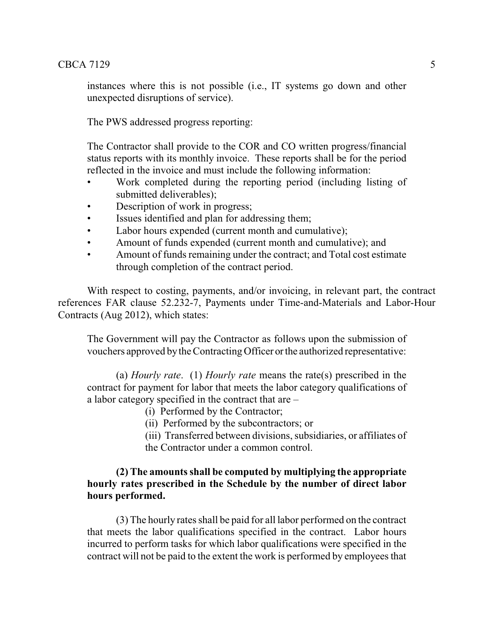instances where this is not possible (i.e., IT systems go down and other unexpected disruptions of service).

The PWS addressed progress reporting:

The Contractor shall provide to the COR and CO written progress/financial status reports with its monthly invoice. These reports shall be for the period reflected in the invoice and must include the following information:

- Work completed during the reporting period (including listing of submitted deliverables);
- Description of work in progress;
- Issues identified and plan for addressing them;
- Labor hours expended (current month and cumulative);
- Amount of funds expended (current month and cumulative); and
- Amount of funds remaining under the contract; and Total cost estimate through completion of the contract period.

With respect to costing, payments, and/or invoicing, in relevant part, the contract references FAR clause 52.232-7, Payments under Time-and-Materials and Labor-Hour Contracts (Aug 2012), which states:

The Government will pay the Contractor as follows upon the submission of vouchers approved bythe Contracting Officer orthe authorized representative:

(a) *Hourly rate*. (1) *Hourly rate* means the rate(s) prescribed in the contract for payment for labor that meets the labor category qualifications of a labor category specified in the contract that are –

(i) Performed by the Contractor;

(ii) Performed by the subcontractors; or

(iii) Transferred between divisions, subsidiaries, or affiliates of the Contractor under a common control.

## **(2) The amounts shall be computed by multiplying the appropriate hourly rates prescribed in the Schedule by the number of direct labor hours performed.**

(3) The hourly rates shall be paid for all labor performed on the contract that meets the labor qualifications specified in the contract. Labor hours incurred to perform tasks for which labor qualifications were specified in the contract will not be paid to the extent the work is performed by employees that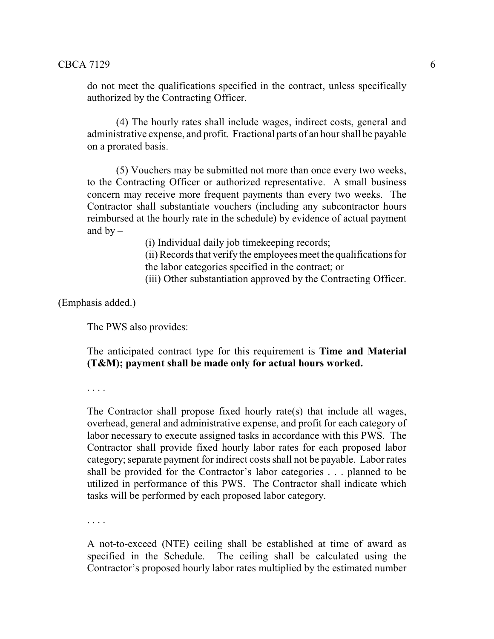do not meet the qualifications specified in the contract, unless specifically authorized by the Contracting Officer.

(4) The hourly rates shall include wages, indirect costs, general and administrative expense, and profit. Fractional parts of an hour shall be payable on a prorated basis.

(5) Vouchers may be submitted not more than once every two weeks, to the Contracting Officer or authorized representative. A small business concern may receive more frequent payments than every two weeks. The Contractor shall substantiate vouchers (including any subcontractor hours reimbursed at the hourly rate in the schedule) by evidence of actual payment and  $by -$ 

(i) Individual daily job timekeeping records;

(ii) Records that verifythe employees meet the qualifications for the labor categories specified in the contract; or

(iii) Other substantiation approved by the Contracting Officer.

(Emphasis added.)

The PWS also provides:

The anticipated contract type for this requirement is **Time and Material (T&M); payment shall be made only for actual hours worked.**

. . . .

The Contractor shall propose fixed hourly rate(s) that include all wages, overhead, general and administrative expense, and profit for each category of labor necessary to execute assigned tasks in accordance with this PWS. The Contractor shall provide fixed hourly labor rates for each proposed labor category;separate payment for indirect costs shall not be payable. Labor rates shall be provided for the Contractor's labor categories . . . planned to be utilized in performance of this PWS. The Contractor shall indicate which tasks will be performed by each proposed labor category.

. . . .

A not-to-exceed (NTE) ceiling shall be established at time of award as specified in the Schedule. The ceiling shall be calculated using the Contractor's proposed hourly labor rates multiplied by the estimated number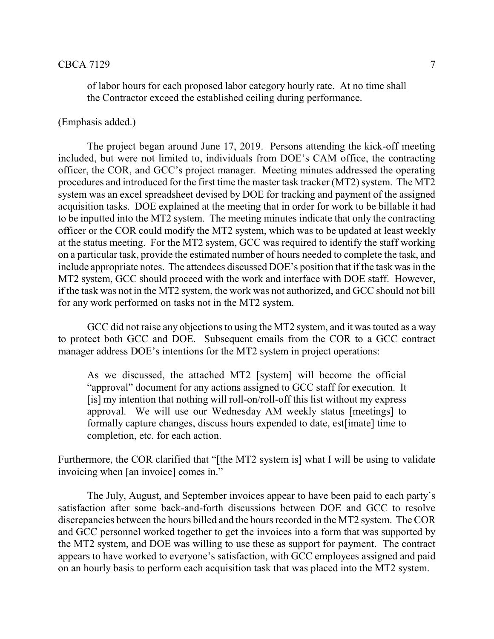## $\text{CBCA } 7129$   $\hspace{1.5cm}7$

of labor hours for each proposed labor category hourly rate. At no time shall the Contractor exceed the established ceiling during performance.

### (Emphasis added.)

The project began around June 17, 2019. Persons attending the kick-off meeting included, but were not limited to, individuals from DOE's CAM office, the contracting officer, the COR, and GCC's project manager. Meeting minutes addressed the operating procedures and introduced for the first time the master task tracker (MT2) system. The MT2 system was an excel spreadsheet devised by DOE for tracking and payment of the assigned acquisition tasks. DOE explained at the meeting that in order for work to be billable it had to be inputted into the MT2 system. The meeting minutes indicate that only the contracting officer or the COR could modify the MT2 system, which was to be updated at least weekly at the status meeting. For the MT2 system, GCC was required to identify the staff working on a particular task, provide the estimated number of hours needed to complete the task, and include appropriate notes. The attendees discussed DOE's position that if the task was in the MT2 system, GCC should proceed with the work and interface with DOE staff. However, if the task was not in the MT2 system, the work was not authorized, and GCC should not bill for any work performed on tasks not in the MT2 system.

GCC did not raise any objections to using the MT2 system, and it was touted as a way to protect both GCC and DOE. Subsequent emails from the COR to a GCC contract manager address DOE's intentions for the MT2 system in project operations:

As we discussed, the attached MT2 [system] will become the official "approval" document for any actions assigned to GCC staff for execution. It [is] my intention that nothing will roll-on/roll-off this list without my express approval. We will use our Wednesday AM weekly status [meetings] to formally capture changes, discuss hours expended to date, est[imate] time to completion, etc. for each action.

Furthermore, the COR clarified that "[the MT2 system is] what I will be using to validate invoicing when [an invoice] comes in."

The July, August, and September invoices appear to have been paid to each party's satisfaction after some back-and-forth discussions between DOE and GCC to resolve discrepancies between the hours billed and the hours recorded in the MT2 system. The COR and GCC personnel worked together to get the invoices into a form that was supported by the MT2 system, and DOE was willing to use these as support for payment. The contract appears to have worked to everyone's satisfaction, with GCC employees assigned and paid on an hourly basis to perform each acquisition task that was placed into the MT2 system.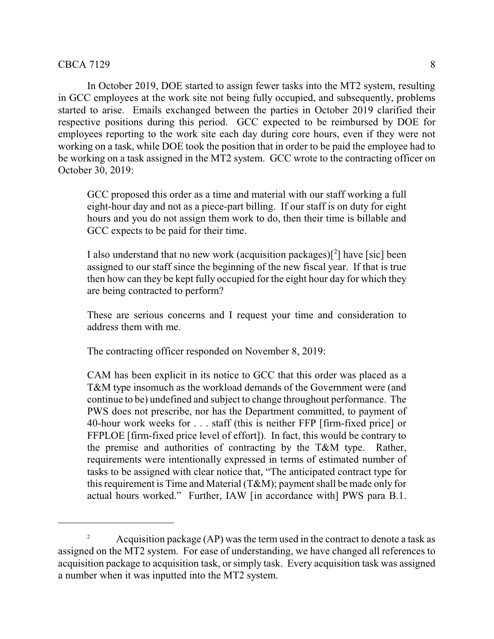In October 2019, DOE started to assign fewer tasks into the MT2 system, resulting in GCC employees at the work site not being fully occupied, and subsequently, problems started to arise. Emails exchanged between the parties in October 2019 clarified their respective positions during this period. GCC expected to be reimbursed by DOE for employees reporting to the work site each day during core hours, even if they were not working on a task, while DOE took the position that in order to be paid the employee had to be working on a task assigned in the MT2 system. GCC wrote to the contracting officer on October 30, 2019:

GCC proposed this order as a time and material with our staff working a full eight-hour day and not as a piece-part billing. If our staff is on duty for eight hours and you do not assign them work to do, then their time is billable and GCC expects to be paid for their time.

I also understand that no new work (acquisition packages) $[^2]$  have [sic] been assigned to our staff since the beginning of the new fiscal year. If that is true then how can they be kept fully occupied for the eight hour day for which they are being contracted to perform?

These are serious concerns and I request your time and consideration to address them with me.

The contracting officer responded on November 8, 2019:

CAM has been explicit in its notice to GCC that this order was placed as a T&M type insomuch as the workload demands of the Government were (and continue to be) undefined and subject to change throughout performance. The PWS does not prescribe, nor has the Department committed, to payment of 40-hour work weeks for . . . staff (this is neither FFP [firm-fixed price] or FFPLOE [firm-fixed price level of effort]). In fact, this would be contrary to the premise and authorities of contracting by the T&M type. Rather, requirements were intentionally expressed in terms of estimated number of tasks to be assigned with clear notice that, "The anticipated contract type for this requirement is Time and Material (T&M); payment shall be made only for actual hours worked." Further, IAW [in accordance with] PWS para B.1.

<sup>&</sup>lt;sup>2</sup> Acquisition package (AP) was the term used in the contract to denote a task as assigned on the MT2 system. For ease of understanding, we have changed all references to acquisition package to acquisition task, or simply task. Every acquisition task was assigned a number when it was inputted into the MT2 system.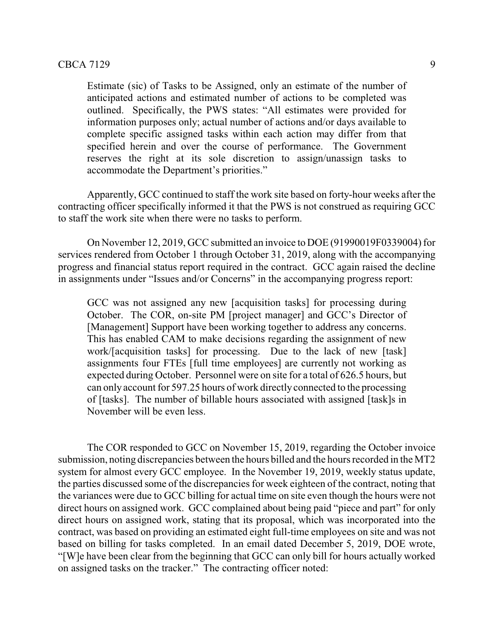#### $CBCA 7129$  9

Estimate (sic) of Tasks to be Assigned, only an estimate of the number of anticipated actions and estimated number of actions to be completed was outlined. Specifically, the PWS states: "All estimates were provided for information purposes only; actual number of actions and/or days available to complete specific assigned tasks within each action may differ from that specified herein and over the course of performance. The Government reserves the right at its sole discretion to assign/unassign tasks to accommodate the Department's priorities."

Apparently, GCC continued to staff the work site based on forty-hour weeks after the contracting officer specifically informed it that the PWS is not construed as requiring GCC to staff the work site when there were no tasks to perform.

On November 12, 2019, GCC submitted an invoice to DOE (91990019F0339004) for services rendered from October 1 through October 31, 2019, along with the accompanying progress and financial status report required in the contract. GCC again raised the decline in assignments under "Issues and/or Concerns" in the accompanying progress report:

GCC was not assigned any new [acquisition tasks] for processing during October. The COR, on-site PM [project manager] and GCC's Director of [Management] Support have been working together to address any concerns. This has enabled CAM to make decisions regarding the assignment of new work/[acquisition tasks] for processing. Due to the lack of new [task] assignments four FTEs [full time employees] are currently not working as expected during October. Personnel were on site for a total of 626.5 hours, but can only account for 597.25 hours of work directly connected to the processing of [tasks]. The number of billable hours associated with assigned [task]s in November will be even less.

The COR responded to GCC on November 15, 2019, regarding the October invoice submission, noting discrepancies between the hours billed and the hours recorded in the MT2 system for almost every GCC employee. In the November 19, 2019, weekly status update, the parties discussed some of the discrepancies for week eighteen of the contract, noting that the variances were due to GCC billing for actual time on site even though the hours were not direct hours on assigned work. GCC complained about being paid "piece and part" for only direct hours on assigned work, stating that its proposal, which was incorporated into the contract, was based on providing an estimated eight full-time employees on site and was not based on billing for tasks completed. In an email dated December 5, 2019, DOE wrote, "[W]e have been clear from the beginning that GCC can only bill for hours actually worked on assigned tasks on the tracker." The contracting officer noted: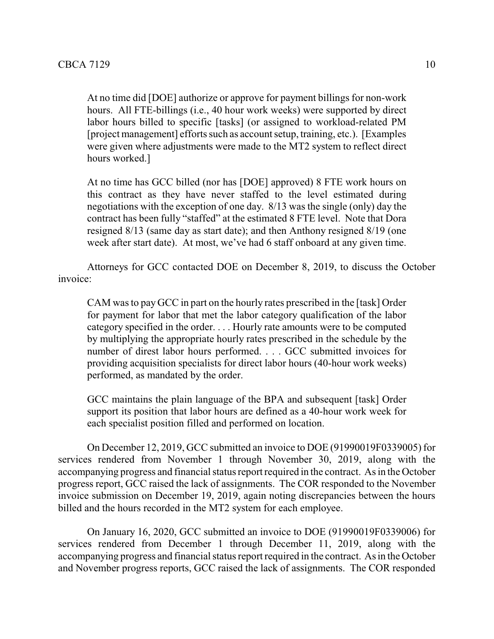At no time did [DOE] authorize or approve for payment billings for non-work hours. All FTE-billings (i.e., 40 hour work weeks) were supported by direct labor hours billed to specific [tasks] (or assigned to workload-related PM [project management] efforts such as account setup, training, etc.). [Examples were given where adjustments were made to the MT2 system to reflect direct hours worked.]

At no time has GCC billed (nor has [DOE] approved) 8 FTE work hours on this contract as they have never staffed to the level estimated during negotiations with the exception of one day. 8/13 was the single (only) day the contract has been fully "staffed" at the estimated 8 FTE level. Note that Dora resigned 8/13 (same day as start date); and then Anthony resigned 8/19 (one week after start date). At most, we've had 6 staff onboard at any given time.

Attorneys for GCC contacted DOE on December 8, 2019, to discuss the October invoice:

CAM was to pay GCC in part on the hourly rates prescribed in the [task] Order for payment for labor that met the labor category qualification of the labor category specified in the order. . . . Hourly rate amounts were to be computed by multiplying the appropriate hourly rates prescribed in the schedule by the number of direst labor hours performed. . . . GCC submitted invoices for providing acquisition specialists for direct labor hours (40-hour work weeks) performed, as mandated by the order.

GCC maintains the plain language of the BPA and subsequent [task] Order support its position that labor hours are defined as a 40-hour work week for each specialist position filled and performed on location.

On December 12, 2019, GCC submitted an invoice to DOE (91990019F0339005) for services rendered from November 1 through November 30, 2019, along with the accompanying progress and financial status report required in the contract. As in the October progress report, GCC raised the lack of assignments. The COR responded to the November invoice submission on December 19, 2019, again noting discrepancies between the hours billed and the hours recorded in the MT2 system for each employee.

On January 16, 2020, GCC submitted an invoice to DOE (91990019F0339006) for services rendered from December 1 through December 11, 2019, along with the accompanying progress and financial status report required in the contract. As in the October and November progress reports, GCC raised the lack of assignments. The COR responded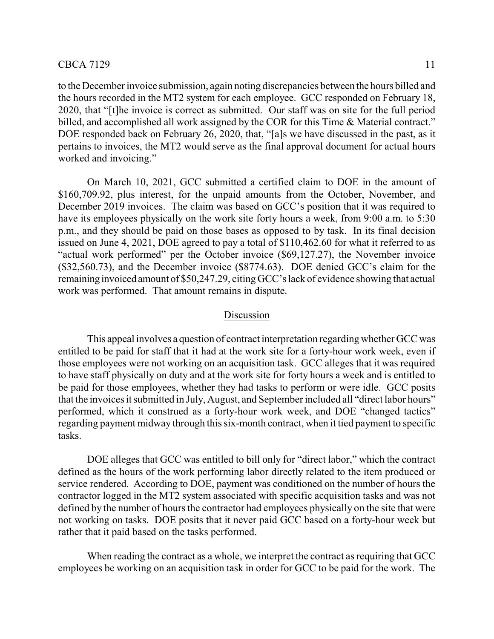to the December invoice submission, again noting discrepancies between the hours billed and the hours recorded in the MT2 system for each employee. GCC responded on February 18, 2020, that "[t]he invoice is correct as submitted. Our staff was on site for the full period billed, and accomplished all work assigned by the COR for this Time & Material contract." DOE responded back on February 26, 2020, that, "[a]s we have discussed in the past, as it pertains to invoices, the MT2 would serve as the final approval document for actual hours worked and invoicing."

On March 10, 2021, GCC submitted a certified claim to DOE in the amount of \$160,709.92, plus interest, for the unpaid amounts from the October, November, and December 2019 invoices. The claim was based on GCC's position that it was required to have its employees physically on the work site forty hours a week, from 9:00 a.m. to 5:30 p.m., and they should be paid on those bases as opposed to by task. In its final decision issued on June 4, 2021, DOE agreed to pay a total of \$110,462.60 for what it referred to as "actual work performed" per the October invoice (\$69,127.27), the November invoice (\$32,560.73), and the December invoice (\$8774.63). DOE denied GCC's claim for the remaining invoiced amount of \$50,247.29, citing GCC's lack of evidence showing that actual work was performed. That amount remains in dispute.

#### Discussion

This appeal involves a question of contract interpretation regarding whether GCC was entitled to be paid for staff that it had at the work site for a forty-hour work week, even if those employees were not working on an acquisition task. GCC alleges that it was required to have staff physically on duty and at the work site for forty hours a week and is entitled to be paid for those employees, whether they had tasks to perform or were idle. GCC posits that the invoices it submitted in July, August, and September included all "direct labor hours" performed, which it construed as a forty-hour work week, and DOE "changed tactics" regarding payment midway through this six-month contract, when it tied payment to specific tasks.

DOE alleges that GCC was entitled to bill only for "direct labor," which the contract defined as the hours of the work performing labor directly related to the item produced or service rendered. According to DOE, payment was conditioned on the number of hours the contractor logged in the MT2 system associated with specific acquisition tasks and was not defined by the number of hours the contractor had employees physically on the site that were not working on tasks. DOE posits that it never paid GCC based on a forty-hour week but rather that it paid based on the tasks performed.

When reading the contract as a whole, we interpret the contract as requiring that GCC employees be working on an acquisition task in order for GCC to be paid for the work. The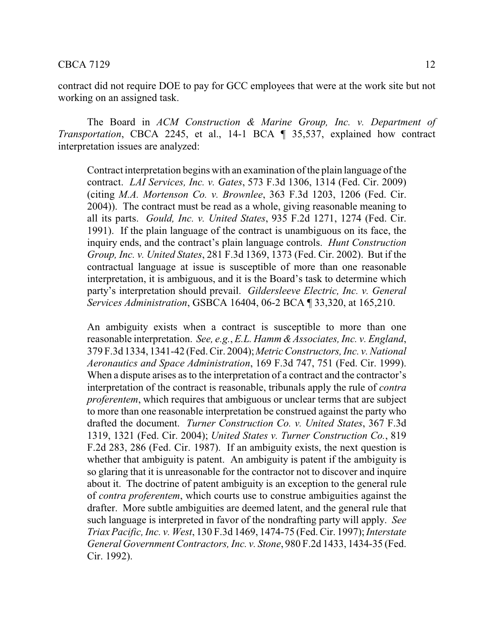contract did not require DOE to pay for GCC employees that were at the work site but not working on an assigned task.

The Board in *ACM Construction & Marine Group, Inc. v. Department of Transportation*, CBCA 2245, et al., 14-1 BCA ¶ 35,537, explained how contract interpretation issues are analyzed:

Contract interpretation begins with an examination of the plain language of the contract. *LAI Services, Inc. v. Gates*, 573 F.3d 1306, 1314 (Fed. Cir. 2009) (citing *M.A. Mortenson Co. v. Brownlee*, 363 F.3d 1203, 1206 (Fed. Cir. 2004)). The contract must be read as a whole, giving reasonable meaning to all its parts. *Gould, Inc. v. United States*, 935 F.2d 1271, 1274 (Fed. Cir. 1991). If the plain language of the contract is unambiguous on its face, the inquiry ends, and the contract's plain language controls. *Hunt Construction Group, Inc. v. United States*, 281 F.3d 1369, 1373 (Fed. Cir. 2002). But if the contractual language at issue is susceptible of more than one reasonable interpretation, it is ambiguous, and it is the Board's task to determine which party's interpretation should prevail. *Gildersleeve Electric, Inc. v. General Services Administration*, GSBCA 16404, 06-2 BCA ¶ 33,320, at 165,210.

An ambiguity exists when a contract is susceptible to more than one reasonable interpretation. *See, e.g., E.L. Hamm & Associates, Inc. v. England,* 379 F.3d 1334, 1341-42 (Fed. Cir. 2004);*Metric Constructors, Inc. v. National Aeronautics and Space Administration*, 169 F.3d 747, 751 (Fed. Cir. 1999). When a dispute arises as to the interpretation of a contract and the contractor's interpretation of the contract is reasonable, tribunals apply the rule of *contra proferentem*, which requires that ambiguous or unclear terms that are subject to more than one reasonable interpretation be construed against the party who drafted the document. *Turner Construction Co. v. United States*, 367 F.3d 1319, 1321 (Fed. Cir. 2004); *United States v. Turner Construction Co.*, 819 F.2d 283, 286 (Fed. Cir. 1987). If an ambiguity exists, the next question is whether that ambiguity is patent. An ambiguity is patent if the ambiguity is so glaring that it is unreasonable for the contractor not to discover and inquire about it. The doctrine of patent ambiguity is an exception to the general rule of *contra proferentem*, which courts use to construe ambiguities against the drafter. More subtle ambiguities are deemed latent, and the general rule that such language is interpreted in favor of the nondrafting party will apply. *See Triax Pacific, Inc. v. West*, 130 F.3d 1469, 1474-75 (Fed. Cir. 1997);*Interstate General Government Contractors, Inc. v. Stone*, 980 F.2d 1433, 1434-35 (Fed. Cir. 1992).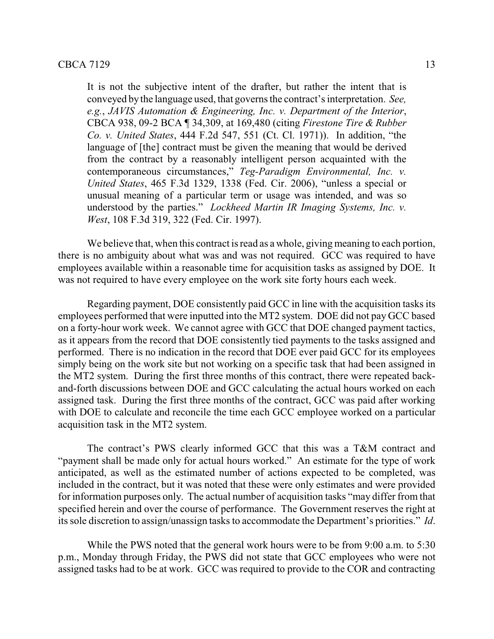It is not the subjective intent of the drafter, but rather the intent that is conveyed by the language used, that governs the contract's interpretation. *See, e.g.*, *JAVIS Automation & Engineering, Inc. v. Department of the Interior*, CBCA 938, 09-2 BCA ¶ 34,309, at 169,480 (citing *Firestone Tire & Rubber Co. v. United States*, 444 F.2d 547, 551 (Ct. Cl. 1971)). In addition, "the language of [the] contract must be given the meaning that would be derived from the contract by a reasonably intelligent person acquainted with the contemporaneous circumstances," *Teg-Paradigm Environmental, Inc. v. United States*, 465 F.3d 1329, 1338 (Fed. Cir. 2006), "unless a special or unusual meaning of a particular term or usage was intended, and was so understood by the parties." *Lockheed Martin IR Imaging Systems, Inc. v. West*, 108 F.3d 319, 322 (Fed. Cir. 1997).

We believe that, when this contract is read as a whole, giving meaning to each portion, there is no ambiguity about what was and was not required. GCC was required to have employees available within a reasonable time for acquisition tasks as assigned by DOE. It was not required to have every employee on the work site forty hours each week.

Regarding payment, DOE consistently paid GCC in line with the acquisition tasks its employees performed that were inputted into the MT2 system. DOE did not pay GCC based on a forty-hour work week. We cannot agree with GCC that DOE changed payment tactics, as it appears from the record that DOE consistently tied payments to the tasks assigned and performed. There is no indication in the record that DOE ever paid GCC for its employees simply being on the work site but not working on a specific task that had been assigned in the MT2 system. During the first three months of this contract, there were repeated backand-forth discussions between DOE and GCC calculating the actual hours worked on each assigned task. During the first three months of the contract, GCC was paid after working with DOE to calculate and reconcile the time each GCC employee worked on a particular acquisition task in the MT2 system.

The contract's PWS clearly informed GCC that this was a T&M contract and "payment shall be made only for actual hours worked." An estimate for the type of work anticipated, as well as the estimated number of actions expected to be completed, was included in the contract, but it was noted that these were only estimates and were provided for information purposes only. The actual number of acquisition tasks "may differ from that specified herein and over the course of performance. The Government reserves the right at its sole discretion to assign/unassign tasks to accommodate the Department's priorities." *Id*.

While the PWS noted that the general work hours were to be from 9:00 a.m. to 5:30 p.m., Monday through Friday, the PWS did not state that GCC employees who were not assigned tasks had to be at work. GCC was required to provide to the COR and contracting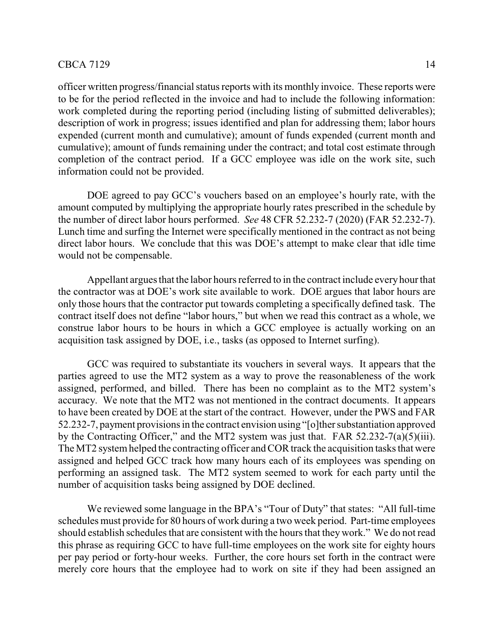officer written progress/financial status reports with its monthly invoice. These reports were to be for the period reflected in the invoice and had to include the following information: work completed during the reporting period (including listing of submitted deliverables); description of work in progress; issues identified and plan for addressing them; labor hours expended (current month and cumulative); amount of funds expended (current month and cumulative); amount of funds remaining under the contract; and total cost estimate through completion of the contract period. If a GCC employee was idle on the work site, such information could not be provided.

DOE agreed to pay GCC's vouchers based on an employee's hourly rate, with the amount computed by multiplying the appropriate hourly rates prescribed in the schedule by the number of direct labor hours performed. *See* 48 CFR 52.232-7 (2020) (FAR 52.232-7). Lunch time and surfing the Internet were specifically mentioned in the contract as not being direct labor hours. We conclude that this was DOE's attempt to make clear that idle time would not be compensable.

Appellant argues that the labor hours referred to in the contract include everyhour that the contractor was at DOE's work site available to work. DOE argues that labor hours are only those hours that the contractor put towards completing a specifically defined task. The contract itself does not define "labor hours," but when we read this contract as a whole, we construe labor hours to be hours in which a GCC employee is actually working on an acquisition task assigned by DOE, i.e., tasks (as opposed to Internet surfing).

GCC was required to substantiate its vouchers in several ways. It appears that the parties agreed to use the MT2 system as a way to prove the reasonableness of the work assigned, performed, and billed. There has been no complaint as to the MT2 system's accuracy. We note that the MT2 was not mentioned in the contract documents. It appears to have been created by DOE at the start of the contract. However, under the PWS and FAR 52.232-7, payment provisions in the contract envision using "[o]ther substantiation approved by the Contracting Officer," and the MT2 system was just that. FAR 52.232-7(a)(5)(iii). The MT2 systemhelped the contracting officer and COR track the acquisition tasks that were assigned and helped GCC track how many hours each of its employees was spending on performing an assigned task. The MT2 system seemed to work for each party until the number of acquisition tasks being assigned by DOE declined.

We reviewed some language in the BPA's "Tour of Duty" that states: "All full-time schedules must provide for 80 hours of work during a two week period. Part-time employees should establish schedules that are consistent with the hours that they work." We do not read this phrase as requiring GCC to have full-time employees on the work site for eighty hours per pay period or forty-hour weeks. Further, the core hours set forth in the contract were merely core hours that the employee had to work on site if they had been assigned an